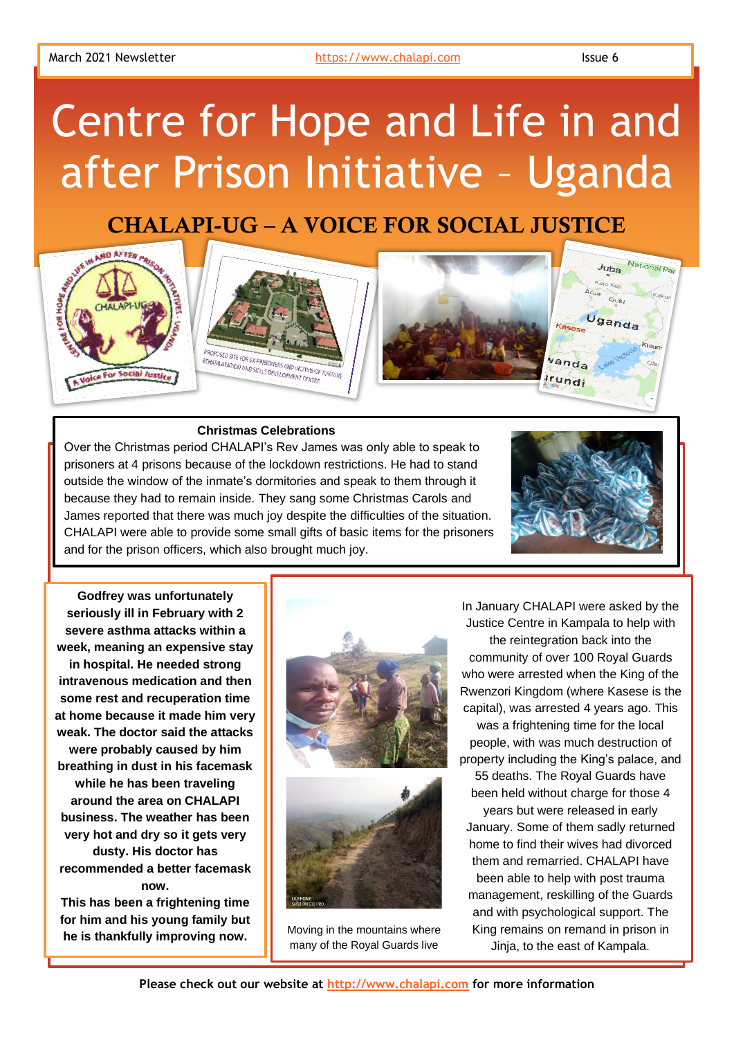# Centre for Hope and Life in and after Prison Initiative – Uganda

# CHALAPI-UG – A VOICE FOR SOCIAL JUSTICE



## **Christmas Celebrations**

Over the Christmas period CHALAPI's Rev James was only able to speak to prisoners at 4 prisons because of the lockdown restrictions. He had to stand outside the window of the inmate's dormitories and speak to them through it because they had to remain inside. They sang some Christmas Carols and James reported that there was much joy despite the difficulties of the situation. CHALAPI were able to provide some small gifts of basic items for the prisoners and for the prison officers, which also brought much joy.



**Godfrey was unfortunately seriously ill in February with 2 severe asthma attacks within a week, meaning an expensive stay in hospital. He needed strong intravenous medication and then some rest and recuperation time at home because it made him very weak. The doctor said the attacks were probably caused by him breathing in dust in his facemask while he has been traveling around the area on CHALAPI business. The weather has been very hot and dry so it gets very dusty. His doctor has recommended a better facemask now.** 

**This has been a frightening time for him and his young family but he is thankfully improving now.**





Moving in the mountains where many of the Royal Guards live

In January CHALAPI were asked by the Justice Centre in Kampala to help with the reintegration back into the community of over 100 Royal Guards who were arrested when the King of the Rwenzori Kingdom (where Kasese is the capital), was arrested 4 years ago. This was a frightening time for the local people, with was much destruction of property including the King's palace, and 55 deaths. The Royal Guards have been held without charge for those 4 years but were released in early January. Some of them sadly returned home to find their wives had divorced them and remarried. CHALAPI have been able to help with post trauma management, reskilling of the Guards and with psychological support. The King remains on remand in prison in Jinja, to the east of Kampala.